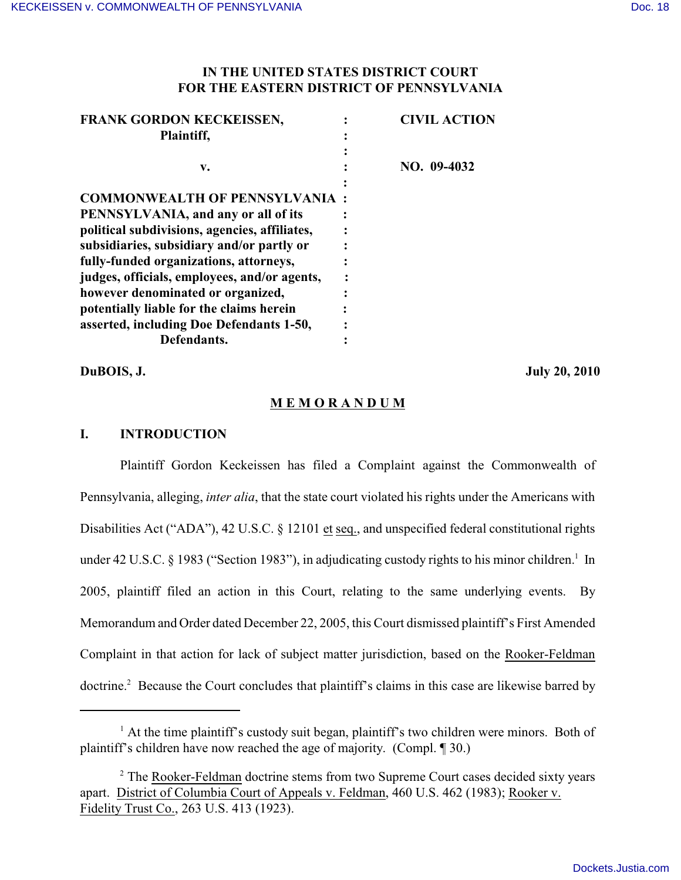# **IN THE UNITED STATES DISTRICT COURT FOR THE EASTERN DISTRICT OF PENNSYLVANIA**

| FRANK GORDON KECKEISSEN,                      | <b>CIVIL ACTION</b> |
|-----------------------------------------------|---------------------|
| Plaintiff,                                    |                     |
|                                               |                     |
| v.                                            | NO. 09-4032         |
|                                               |                     |
| <b>COMMONWEALTH OF PENNSYLVANIA:</b>          |                     |
| PENNSYLVANIA, and any or all of its           |                     |
| political subdivisions, agencies, affiliates, |                     |
| subsidiaries, subsidiary and/or partly or     |                     |
| fully-funded organizations, attorneys,        |                     |
| judges, officials, employees, and/or agents,  |                     |
| however denominated or organized,             |                     |
| potentially liable for the claims herein      |                     |
| asserted, including Doe Defendants 1-50,      |                     |
| Defendants.                                   |                     |

**DuBOIS, J. July 20, 2010**

# **M E M O R A N D U M**

### **I. INTRODUCTION**

Plaintiff Gordon Keckeissen has filed a Complaint against the Commonwealth of Pennsylvania, alleging, *inter alia*, that the state court violated his rights under the Americans with Disabilities Act ("ADA"), 42 U.S.C. § 12101 et seq., and unspecified federal constitutional rights under 42 U.S.C. § 1983 ("Section 1983"), in adjudicating custody rights to his minor children.<sup>1</sup> In 2005, plaintiff filed an action in this Court, relating to the same underlying events. By Memorandum and Order dated December 22, 2005, this Court dismissed plaintiff's First Amended Complaint in that action for lack of subject matter jurisdiction, based on the Rooker-Feldman doctrine.<sup>2</sup> Because the Court concludes that plaintiff's claims in this case are likewise barred by

 $<sup>1</sup>$  At the time plaintiff's custody suit began, plaintiff's two children were minors. Both of</sup> plaintiff's children have now reached the age of majority. (Compl. ¶ 30.)

<sup>&</sup>lt;sup>2</sup> The Rooker-Feldman doctrine stems from two Supreme Court cases decided sixty years apart. District of Columbia Court of Appeals v. Feldman, 460 U.S. 462 (1983); Rooker v. Fidelity Trust Co., 263 U.S. 413 (1923).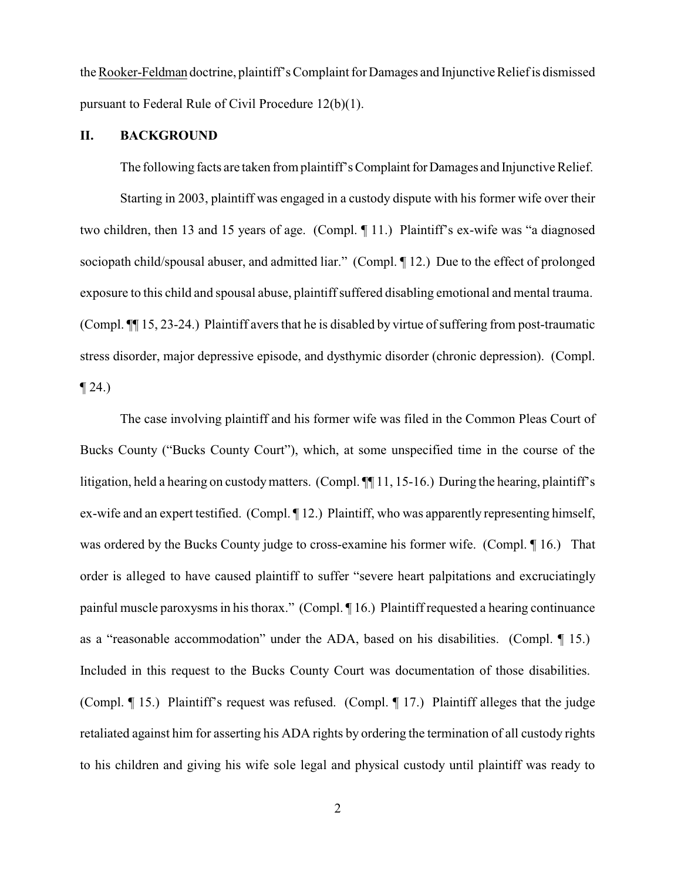the Rooker-Feldman doctrine, plaintiff's Complaint for Damages and Injunctive Relief is dismissed pursuant to Federal Rule of Civil Procedure 12(b)(1).

# **II. BACKGROUND**

The following facts are taken from plaintiff's Complaint for Damages and Injunctive Relief.

Starting in 2003, plaintiff was engaged in a custody dispute with his former wife over their two children, then 13 and 15 years of age. (Compl. ¶ 11.) Plaintiff's ex-wife was "a diagnosed sociopath child/spousal abuser, and admitted liar." (Compl. ¶ 12.) Due to the effect of prolonged exposure to this child and spousal abuse, plaintiff suffered disabling emotional and mental trauma. (Compl. ¶¶ 15, 23-24.) Plaintiff avers that he is disabled by virtue of suffering from post-traumatic stress disorder, major depressive episode, and dysthymic disorder (chronic depression). (Compl.  $\P$  24.)

The case involving plaintiff and his former wife was filed in the Common Pleas Court of Bucks County ("Bucks County Court"), which, at some unspecified time in the course of the litigation, held a hearing on custody matters. (Compl. ¶ 11, 15-16.) During the hearing, plaintiff's ex-wife and an expert testified. (Compl.  $\P$ 12.) Plaintiff, who was apparently representing himself, was ordered by the Bucks County judge to cross-examine his former wife. (Compl. ¶ 16.) That order is alleged to have caused plaintiff to suffer "severe heart palpitations and excruciatingly painful muscle paroxysms in his thorax." (Compl. ¶ 16.) Plaintiff requested a hearing continuance as a "reasonable accommodation" under the ADA, based on his disabilities. (Compl. ¶ 15.) Included in this request to the Bucks County Court was documentation of those disabilities. (Compl. ¶ 15.) Plaintiff's request was refused. (Compl. ¶ 17.) Plaintiff alleges that the judge retaliated against him for asserting his ADA rights by ordering the termination of all custody rights to his children and giving his wife sole legal and physical custody until plaintiff was ready to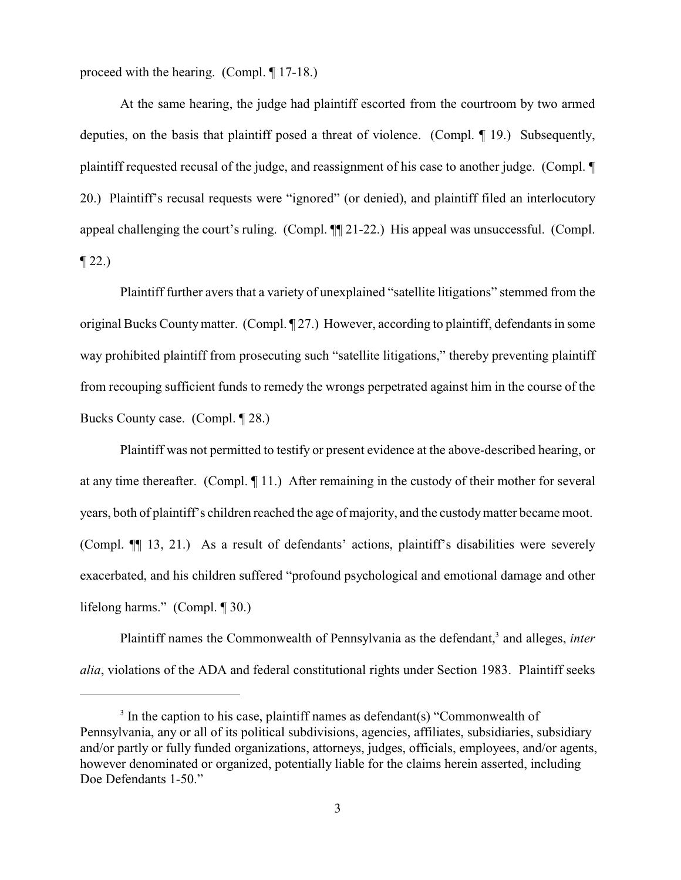proceed with the hearing. (Compl. ¶ 17-18.)

At the same hearing, the judge had plaintiff escorted from the courtroom by two armed deputies, on the basis that plaintiff posed a threat of violence. (Compl. ¶ 19.) Subsequently, plaintiff requested recusal of the judge, and reassignment of his case to another judge. (Compl. ¶ 20.) Plaintiff's recusal requests were "ignored" (or denied), and plaintiff filed an interlocutory appeal challenging the court's ruling. (Compl. ¶¶ 21-22.) His appeal was unsuccessful. (Compl.  $\P$  22.)

Plaintiff further avers that a variety of unexplained "satellite litigations" stemmed from the original Bucks Countymatter. (Compl. ¶ 27.) However, according to plaintiff, defendants in some way prohibited plaintiff from prosecuting such "satellite litigations," thereby preventing plaintiff from recouping sufficient funds to remedy the wrongs perpetrated against him in the course of the Bucks County case. (Compl. ¶ 28.)

Plaintiff was not permitted to testify or present evidence at the above-described hearing, or at any time thereafter. (Compl. ¶ 11.) After remaining in the custody of their mother for several years, both of plaintiff's children reached the age of majority, and the custodymatter became moot. (Compl. ¶¶ 13, 21.) As a result of defendants' actions, plaintiff's disabilities were severely exacerbated, and his children suffered "profound psychological and emotional damage and other lifelong harms." (Compl. ¶ 30.)

Plaintiff names the Commonwealth of Pennsylvania as the defendant,<sup>3</sup> and alleges, *inter alia*, violations of the ADA and federal constitutional rights under Section 1983. Plaintiff seeks

 $3$  In the caption to his case, plaintiff names as defendant(s) "Commonwealth of Pennsylvania, any or all of its political subdivisions, agencies, affiliates, subsidiaries, subsidiary and/or partly or fully funded organizations, attorneys, judges, officials, employees, and/or agents, however denominated or organized, potentially liable for the claims herein asserted, including Doe Defendants 1-50."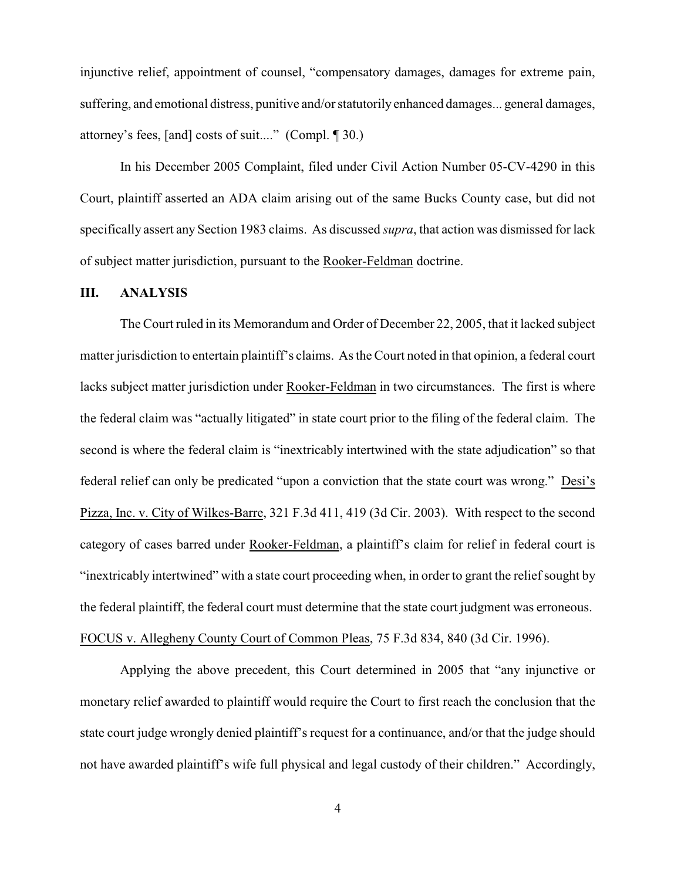injunctive relief, appointment of counsel, "compensatory damages, damages for extreme pain, suffering, and emotional distress, punitive and/or statutorily enhanced damages... general damages, attorney's fees, [and] costs of suit...." (Compl. ¶ 30.)

In his December 2005 Complaint, filed under Civil Action Number 05-CV-4290 in this Court, plaintiff asserted an ADA claim arising out of the same Bucks County case, but did not specifically assert any Section 1983 claims. As discussed *supra*, that action was dismissed for lack of subject matter jurisdiction, pursuant to the Rooker-Feldman doctrine.

#### **III. ANALYSIS**

The Court ruled in its Memorandum and Order of December 22, 2005, that it lacked subject matter jurisdiction to entertain plaintiff's claims. As the Court noted in that opinion, a federal court lacks subject matter jurisdiction under Rooker-Feldman in two circumstances. The first is where the federal claim was "actually litigated" in state court prior to the filing of the federal claim. The second is where the federal claim is "inextricably intertwined with the state adjudication" so that federal relief can only be predicated "upon a conviction that the state court was wrong." Desi's Pizza, Inc. v. City of Wilkes-Barre, 321 F.3d 411, 419 (3d Cir. 2003). With respect to the second category of cases barred under Rooker-Feldman, a plaintiff's claim for relief in federal court is "inextricably intertwined" with a state court proceeding when, in order to grant the reliefsought by the federal plaintiff, the federal court must determine that the state court judgment was erroneous. FOCUS v. Allegheny County Court of Common Pleas, 75 F.3d 834, 840 (3d Cir. 1996).

Applying the above precedent, this Court determined in 2005 that "any injunctive or monetary relief awarded to plaintiff would require the Court to first reach the conclusion that the state court judge wrongly denied plaintiff's request for a continuance, and/or that the judge should not have awarded plaintiff's wife full physical and legal custody of their children." Accordingly,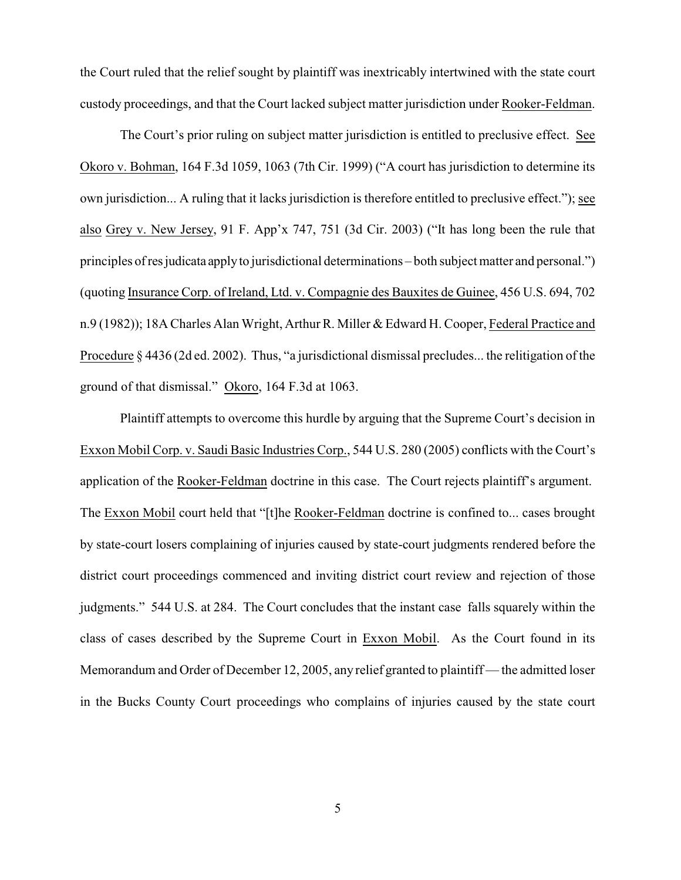the Court ruled that the relief sought by plaintiff was inextricably intertwined with the state court custody proceedings, and that the Court lacked subject matter jurisdiction under Rooker-Feldman.

The Court's prior ruling on subject matter jurisdiction is entitled to preclusive effect. See Okoro v. Bohman, 164 F.3d 1059, 1063 (7th Cir. 1999) ("A court has jurisdiction to determine its own jurisdiction... A ruling that it lacks jurisdiction is therefore entitled to preclusive effect."); see also Grey v. New Jersey, 91 F. App'x 747, 751 (3d Cir. 2003) ("It has long been the rule that principles of resjudicata applyto jurisdictional determinations – both subject matter and personal.") (quoting Insurance Corp. of Ireland, Ltd. v. Compagnie des Bauxites de Guinee, 456 U.S. 694, 702 n.9 (1982)); 18A Charles Alan Wright, Arthur R. Miller & Edward H. Cooper, Federal Practice and Procedure § 4436 (2d ed. 2002). Thus, "a jurisdictional dismissal precludes... the relitigation of the ground of that dismissal." Okoro, 164 F.3d at 1063.

Plaintiff attempts to overcome this hurdle by arguing that the Supreme Court's decision in Exxon Mobil Corp. v. Saudi Basic Industries Corp., 544 U.S. 280 (2005) conflicts with the Court's application of the Rooker-Feldman doctrine in this case. The Court rejects plaintiff's argument. The Exxon Mobil court held that "[t]he Rooker-Feldman doctrine is confined to... cases brought by state-court losers complaining of injuries caused by state-court judgments rendered before the district court proceedings commenced and inviting district court review and rejection of those judgments." 544 U.S. at 284. The Court concludes that the instant case falls squarely within the class of cases described by the Supreme Court in Exxon Mobil. As the Court found in its Memorandum and Order of December 12, 2005, any relief granted to plaintiff — the admitted loser in the Bucks County Court proceedings who complains of injuries caused by the state court